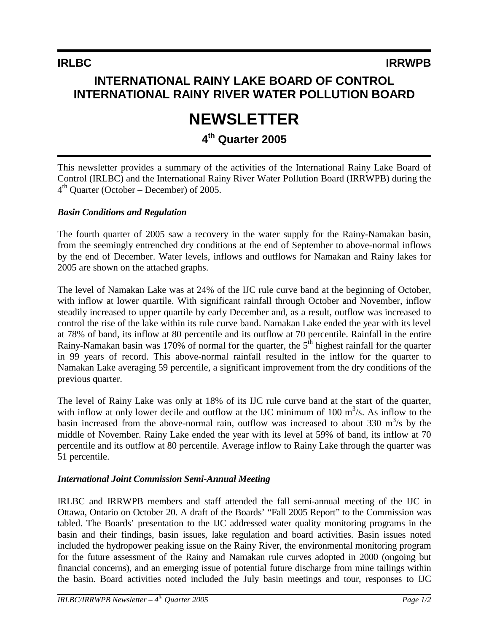# **INTERNATIONAL RAINY LAKE BOARD OF CONTROL INTERNATIONAL RAINY RIVER WATER POLLUTION BOARD**

# **NEWSLETTER**

## **4th Quarter 2005**

This newsletter provides a summary of the activities of the International Rainy Lake Board of Control (IRLBC) and the International Rainy River Water Pollution Board (IRRWPB) during the  $4<sup>th</sup>$  Quarter (October – December) of 2005.

#### *Basin Conditions and Regulation*

The fourth quarter of 2005 saw a recovery in the water supply for the Rainy-Namakan basin, from the seemingly entrenched dry conditions at the end of September to above-normal inflows by the end of December. Water levels, inflows and outflows for Namakan and Rainy lakes for 2005 are shown on the attached graphs.

The level of Namakan Lake was at 24% of the IJC rule curve band at the beginning of October, with inflow at lower quartile. With significant rainfall through October and November, inflow steadily increased to upper quartile by early December and, as a result, outflow was increased to control the rise of the lake within its rule curve band. Namakan Lake ended the year with its level at 78% of band, its inflow at 80 percentile and its outflow at 70 percentile. Rainfall in the entire Rainy-Namakan basin was 170% of normal for the quarter, the  $5<sup>th</sup>$  highest rainfall for the quarter in 99 years of record. This above-normal rainfall resulted in the inflow for the quarter to Namakan Lake averaging 59 percentile, a significant improvement from the dry conditions of the previous quarter.

The level of Rainy Lake was only at 18% of its IJC rule curve band at the start of the quarter, with inflow at only lower decile and outflow at the IJC minimum of 100  $\text{m}^3$ /s. As inflow to the basin increased from the above-normal rain, outflow was increased to about 330  $\text{m}^3\text{/s}$  by the middle of November. Rainy Lake ended the year with its level at 59% of band, its inflow at 70 percentile and its outflow at 80 percentile. Average inflow to Rainy Lake through the quarter was 51 percentile.

#### *International Joint Commission Semi-Annual Meeting*

IRLBC and IRRWPB members and staff attended the fall semi-annual meeting of the IJC in Ottawa, Ontario on October 20. A draft of the Boards' "Fall 2005 Report" to the Commission was tabled. The Boards' presentation to the IJC addressed water quality monitoring programs in the basin and their findings, basin issues, lake regulation and board activities. Basin issues noted included the hydropower peaking issue on the Rainy River, the environmental monitoring program for the future assessment of the Rainy and Namakan rule curves adopted in 2000 (ongoing but financial concerns), and an emerging issue of potential future discharge from mine tailings within the basin. Board activities noted included the July basin meetings and tour, responses to IJC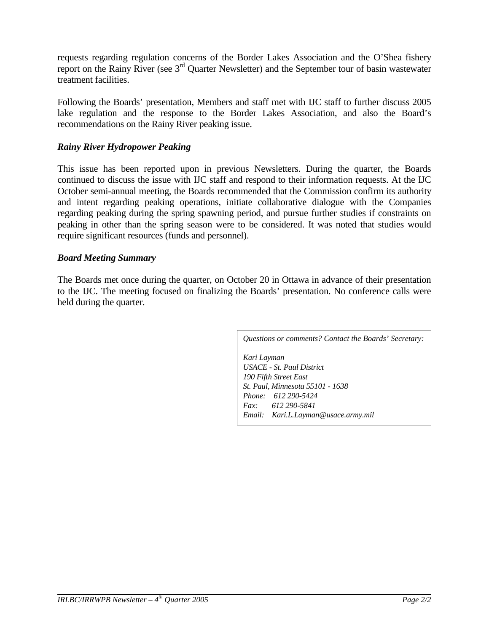requests regarding regulation concerns of the Border Lakes Association and the O'Shea fishery report on the Rainy River (see 3rd Quarter Newsletter) and the September tour of basin wastewater treatment facilities.

Following the Boards' presentation, Members and staff met with IJC staff to further discuss 2005 lake regulation and the response to the Border Lakes Association, and also the Board's recommendations on the Rainy River peaking issue.

#### *Rainy River Hydropower Peaking*

This issue has been reported upon in previous Newsletters. During the quarter, the Boards continued to discuss the issue with IJC staff and respond to their information requests. At the IJC October semi-annual meeting, the Boards recommended that the Commission confirm its authority and intent regarding peaking operations, initiate collaborative dialogue with the Companies regarding peaking during the spring spawning period, and pursue further studies if constraints on peaking in other than the spring season were to be considered. It was noted that studies would require significant resources (funds and personnel).

#### *Board Meeting Summary*

The Boards met once during the quarter, on October 20 in Ottawa in advance of their presentation to the IJC. The meeting focused on finalizing the Boards' presentation. No conference calls were held during the quarter.

*Questions or comments? Contact the Boards' Secretary:*

*Kari Layman USACE - St. Paul District 190 Fifth Street East St. Paul, Minnesota 55101 - 1638 Phone: 612 290-5424 Fax: 612 290-5841 Email: Kari.L.Layman@usace.army.mil*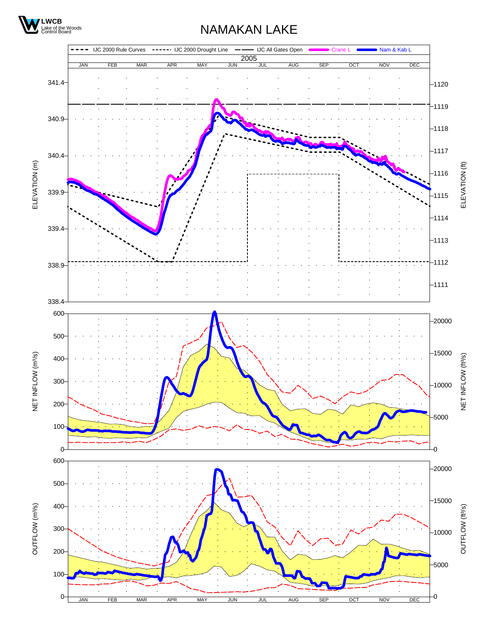

## NAMAKAN LAKE